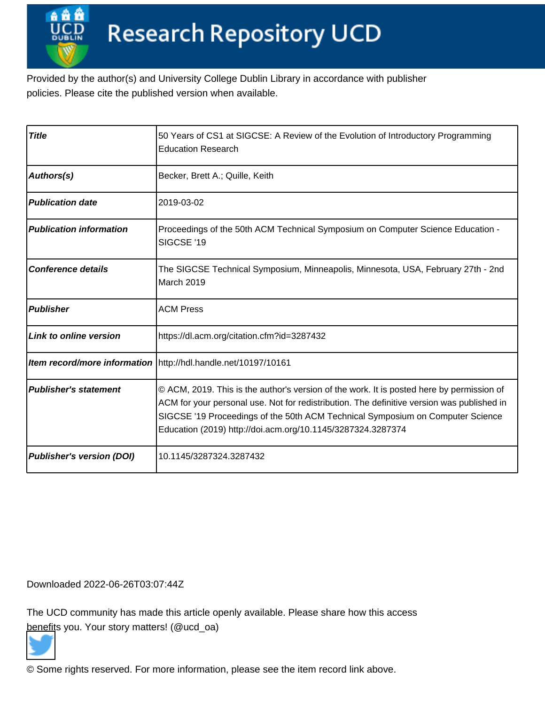Provided by the author(s) and University College Dublin Library in accordance with publisher policies. Please cite the published version when available.

| <b>Title</b>                     | 50 Years of CS1 at SIGCSE: A Review of the Evolution of Introductory Programming<br><b>Education Research</b>                                                                                                                                                                                                                            |
|----------------------------------|------------------------------------------------------------------------------------------------------------------------------------------------------------------------------------------------------------------------------------------------------------------------------------------------------------------------------------------|
| Authors(s)                       | Becker, Brett A.; Quille, Keith                                                                                                                                                                                                                                                                                                          |
| <b>Publication date</b>          | 2019-03-02                                                                                                                                                                                                                                                                                                                               |
| <b>Publication information</b>   | Proceedings of the 50th ACM Technical Symposium on Computer Science Education -<br>SIGCSE '19                                                                                                                                                                                                                                            |
| <b>Conference details</b>        | The SIGCSE Technical Symposium, Minneapolis, Minnesota, USA, February 27th - 2nd<br>March 2019                                                                                                                                                                                                                                           |
| <b>Publisher</b>                 | <b>ACM Press</b>                                                                                                                                                                                                                                                                                                                         |
| Link to online version           | https://dl.acm.org/citation.cfm?id=3287432                                                                                                                                                                                                                                                                                               |
|                                  | Item record/more information   http://hdl.handle.net/10197/10161                                                                                                                                                                                                                                                                         |
| <b>Publisher's statement</b>     | © ACM, 2019. This is the author's version of the work. It is posted here by permission of<br>ACM for your personal use. Not for redistribution. The definitive version was published in<br>SIGCSE '19 Proceedings of the 50th ACM Technical Symposium on Computer Science<br>Education (2019) http://doi.acm.org/10.1145/3287324.3287374 |
| <b>Publisher's version (DOI)</b> | 10.1145/3287324.3287432                                                                                                                                                                                                                                                                                                                  |

Downloaded 2022-06-26T03:07:44Z

The UCD community has made this article openly available. Please share how this access [benefit](https://twitter.com/intent/tweet?via=ucd_oa&text=DOI%3A10.1145%2F3287324.3287432&url=http%3A%2F%2Fhdl.handle.net%2F10197%2F10161)s you. Your story matters! (@ucd\_oa)



© Some rights reserved. For more information, please see the item record link above.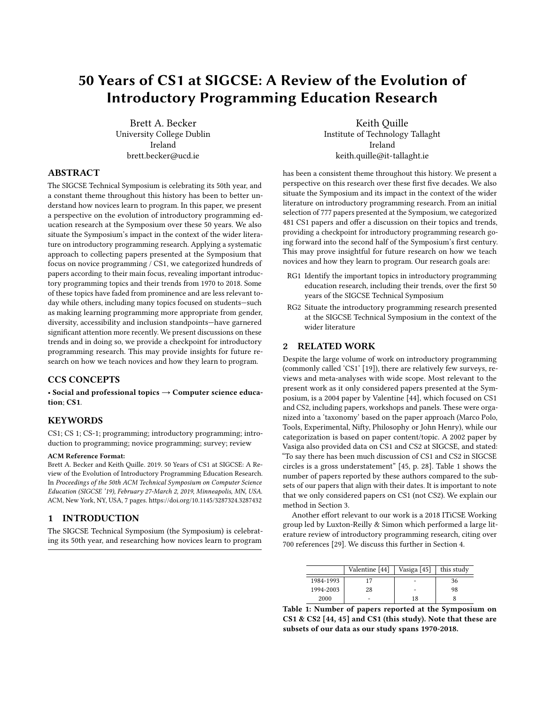# 50 Years of CS1 at SIGCSE: A Review of the Evolution of Introductory Programming Education Research

Brett A. Becker University College Dublin Ireland brett.becker@ucd.ie

ABSTRACT

The SIGCSE Technical Symposium is celebrating its 50th year, and a constant theme throughout this history has been to better understand how novices learn to program. In this paper, we present a perspective on the evolution of introductory programming education research at the Symposium over these 50 years. We also situate the Symposium's impact in the context of the wider literature on introductory programming research. Applying a systematic approach to collecting papers presented at the Symposium that focus on novice programming / CS1, we categorized hundreds of papers according to their main focus, revealing important introductory programming topics and their trends from 1970 to 2018. Some of these topics have faded from prominence and are less relevant today while others, including many topics focused on students—such as making learning programming more appropriate from gender, diversity, accessibility and inclusion standpoints—have garnered significant attention more recently. We present discussions on these trends and in doing so, we provide a checkpoint for introductory programming research. This may provide insights for future research on how we teach novices and how they learn to program.

## CCS CONCEPTS

• Social and professional topics → Computer science education; CS1.

# **KEYWORDS**

CS1; CS 1; CS-1; programming; introductory programming; introduction to programming; novice programming; survey; review

#### ACM Reference Format:

Brett A. Becker and Keith Quille. 2019. 50 Years of CS1 at SIGCSE: A Review of the Evolution of Introductory Programming Education Research. In Proceedings of the 50th ACM Technical Symposium on Computer Science Education (SIGCSE '19), February 27-March 2, 2019, Minneapolis, MN, USA. ACM, New York, NY, USA, 7 pages.<https://doi.org/10.1145/3287324.3287432>

# 1 INTRODUCTION

The SIGCSE Technical Symposium (the Symposium) is celebrating its 50th year, and researching how novices learn to program

Keith Quille Institute of Technology Tallaght Ireland keith.quille@it-tallaght.ie

has been a consistent theme throughout this history. We present a perspective on this research over these first five decades. We also situate the Symposium and its impact in the context of the wider literature on introductory programming research. From an initial selection of 777 papers presented at the Symposium, we categorized 481 CS1 papers and offer a discussion on their topics and trends, providing a checkpoint for introductory programming research going forward into the second half of the Symposium's first century. This may prove insightful for future research on how we teach novices and how they learn to program. Our research goals are:

- RG1 Identify the important topics in introductory programming education research, including their trends, over the first 50 years of the SIGCSE Technical Symposium
- RG2 Situate the introductory programming research presented at the SIGCSE Technical Symposium in the context of the wider literature

# 2 RELATED WORK

Despite the large volume of work on introductory programming (commonly called 'CS1' [19]), there are relatively few surveys, reviews and meta-analyses with wide scope. Most relevant to the present work as it only considered papers presented at the Symposium, is a 2004 paper by Valentine [44], which focused on CS1 and CS2, including papers, workshops and panels. These were organized into a 'taxonomy' based on the paper approach (Marco Polo, Tools, Experimental, Nifty, Philosophy or John Henry), while our categorization is based on paper content/topic. A 2002 paper by Vasiga also provided data on CS1 and CS2 at SIGCSE, and stated: "To say there has been much discussion of CS1 and CS2 in SIGCSE circles is a gross understatement" [45, p. 28]. Table 1 shows the number of papers reported by these authors compared to the subsets of our papers that align with their dates. It is important to note that we only considered papers on CS1 (not CS2). We explain our method in Section 3.

Another effort relevant to our work is a 2018 ITiCSE Working group led by Luxton-Reilly & Simon which performed a large literature review of introductory programming research, citing over 700 references [29]. We discuss this further in Section 4.

|           | Valentine [44] | Vasiga $[45]$            | this study |
|-----------|----------------|--------------------------|------------|
| 1984-1993 |                |                          | 36         |
| 1994-2003 | 28             |                          | 98         |
| 2000      |                | 18                       |            |
|           | $\sim$         | <b>STATE OF BUILDING</b> |            |

Table 1: Number of papers reported at the Symposium on CS1 & CS2 [44, 45] and CS1 (this study). Note that these are subsets of our data as our study spans 1970-2018.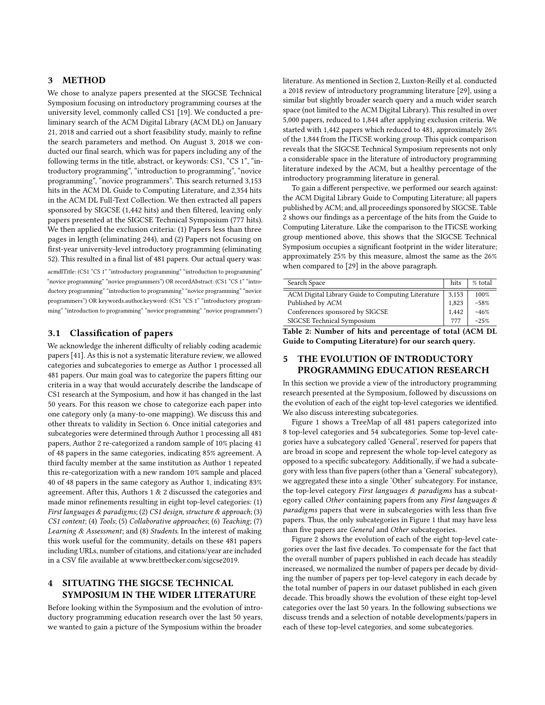## 3 METHOD

We chose to analyze papers presented at the SIGCSE Technical Symposium focusing on introductory programming courses at the university level, commonly called CS1 [19]. We conducted a preliminary search of the ACM Digital Library (ACM DL) on January 21, 2018 and carried out a short feasibility study, mainly to refine the search parameters and method. On August 3, 2018 we conducted our final search, which was for papers including any of the following terms in the title, abstract, or keywords: CS1, "CS 1", "introductory programming", "introduction to programming", "novice programming", "novice programmers". This search returned 3,153 hits in the ACM DL Guide to Computing Literature, and 2,354 hits in the ACM DL Full-Text Collection. We then extracted all papers sponsored by SIGCSE (1,442 hits) and then filtered, leaving only papers presented at the SIGCSE Technical Symposium (777 hits). We then applied the exclusion criteria: (1) Papers less than three pages in length (eliminating 244), and (2) Papers not focusing on first-year university-level introductory programming (eliminating 52). This resulted in a final list of 481 papers. Our actual query was:

acmdlTitle: (CS1 "CS 1" "introductory programming" "introduction to programming" "novice programming" "novice programmers") OR recordAbstract: (CS1 "CS 1" "introductory programming" "introduction to programming" "novice programming" "novice programmers") OR keywords.author.keyword: (CS1 "CS 1" "introductory programming" "introduction to programming" "novice programming" "novice programmers")

# 3.1 Classification of papers

We acknowledge the inherent difficulty of reliably coding academic papers [41]. As this is not a systematic literature review, we allowed categories and subcategories to emerge as Author 1 processed all 481 papers. Our main goal was to categorize the papers fitting our criteria in a way that would accurately describe the landscape of CS1 research at the Symposium, and how it has changed in the last 50 years. For this reason we chose to categorize each paper into one category only (a many-to-one mapping). We discuss this and other threats to validity in Section 6. Once initial categories and subcategories were determined through Author 1 processing all 481 papers, Author 2 re-categorized a random sample of 10% placing 41 of 48 papers in the same categories, indicating 85% agreement. A third faculty member at the same institution as Author 1 repeated this re-categorization with a new random 10% sample and placed 40 of 48 papers in the same category as Author 1, indicating 83% agreement. After this, Authors 1 & 2 discussed the categories and made minor refinements resulting in eight top-level categories: (1) First languages & paradigms; (2) CS1 design, structure & approach; (3) CS1 content; (4) Tools; (5) Collaborative approaches; (6) Teaching; (7) Learning & Assessment; and (8) Students. In the interest of making this work useful for the community, details on these 481 papers including URLs, number of citations, and citations/year are included in a CSV file available at [www.brettbecker.com/sigcse2019.](www.brettbecker.com/sigcse2019)

# 4 SITUATING THE SIGCSE TECHNICAL SYMPOSIUM IN THE WIDER LITERATURE

Before looking within the Symposium and the evolution of introductory programming education research over the last 50 years, we wanted to gain a picture of the Symposium within the broader

literature. As mentioned in Section 2, Luxton-Reilly et al. conducted a 2018 review of introductory programming literature [29], using a similar but slightly broader search query and a much wider search space (not limited to the ACM Digital Library). This resulted in over 5,000 papers, reduced to 1,844 after applying exclusion criteria. We started with 1,442 papers which reduced to 481, approximately 26% of the 1,844 from the ITiCSE working group. This quick comparison reveals that the SIGCSE Technical Symposium represents not only a considerable space in the literature of introductory programming literature indexed by the ACM, but a healthy percentage of the introductory programming literature in general.

To gain a different perspective, we performed our search against: the ACM Digital Library Guide to Computing Literature; all papers published by ACM; and, all proceedings sponsored by SIGCSE. Table 2 shows our findings as a percentage of the hits from the Guide to Computing Literature. Like the comparison to the ITiCSE working group mentioned above, this shows that the SIGCSE Technical Symposium occupies a significant footprint in the wider literature; approximately 25% by this measure, almost the same as the 26% when compared to [29] in the above paragraph.

| Search Space                                      | hits  | % total |
|---------------------------------------------------|-------|---------|
| ACM Digital Library Guide to Computing Literature | 3,153 | 100%    |
| Published by ACM                                  | 1,823 | $~58\%$ |
| Conferences sponsored by SIGCSE                   | 1.442 | ~146%   |
| SIGCSE Technical Symposium                        | 777   | ~25%    |

Table 2: Number of hits and percentage of total (ACM DL Guide to Computing Literature) for our search query.

# 5 THE EVOLUTION OF INTRODUCTORY PROGRAMMING EDUCATION RESEARCH

In this section we provide a view of the introductory programming research presented at the Symposium, followed by discussions on the evolution of each of the eight top-level categories we identified. We also discuss interesting subcategories.

Figure 1 shows a TreeMap of all 481 papers categorized into 8 top-level categories and 54 subcategories. Some top-level categories have a subcategory called 'General', reserved for papers that are broad in scope and represent the whole top-level category as opposed to a specific subcategory. Additionally, if we had a subcategory with less than five papers (other than a 'General' subcategory), we aggregated these into a single 'Other' subcategory. For instance, the top-level category First languages & paradigms has a subcategory called Other containing papers from any First languages & paradigms papers that were in subcategories with less than five papers. Thus, the only subcategories in Figure 1 that may have less than five papers are General and Other subcategories.

Figure 2 shows the evolution of each of the eight top-level categories over the last five decades. To compensate for the fact that the overall number of papers published in each decade has steadily increased, we normalized the number of papers per decade by dividing the number of papers per top-level category in each decade by the total number of papers in our dataset published in each given decade. This broadly shows the evolution of these eight top-level categories over the last 50 years. In the following subsections we discuss trends and a selection of notable developments/papers in each of these top-level categories, and some subcategories.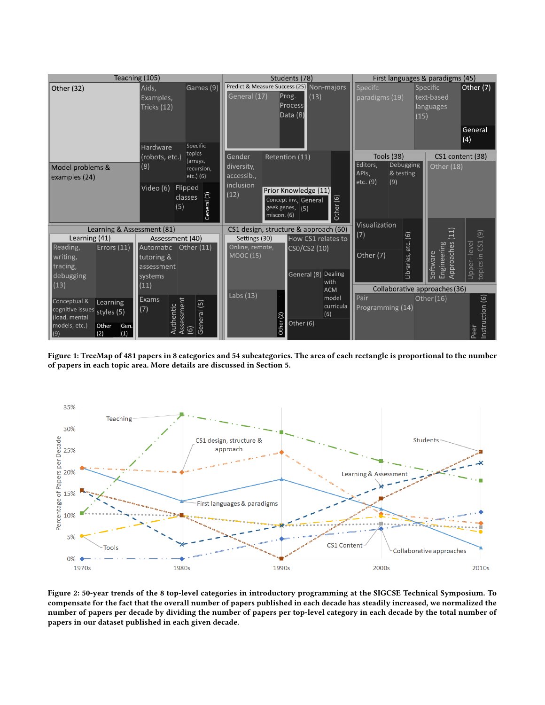

Figure 1: TreeMap of 481 papers in 8 categories and 54 subcategories. The area of each rectangle is proportional to the number of papers in each topic area. More details are discussed in Section 5.



Figure 2: 50-year trends of the 8 top-level categories in introductory programming at the SIGCSE Technical Symposium. To compensate for the fact that the overall number of papers published in each decade has steadily increased, we normalized the number of papers per decade by dividing the number of papers per top-level category in each decade by the total number of papers in our dataset published in each given decade.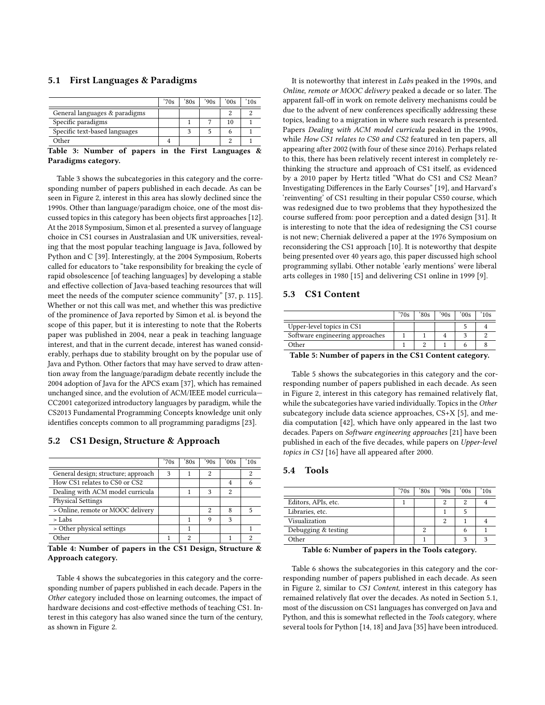#### 5.1 First Languages & Paradigms

|                                                                    | '70s           | 80s | '90s | $^{\prime}00s$ | 10s |
|--------------------------------------------------------------------|----------------|-----|------|----------------|-----|
| General languages & paradigms                                      |                |     |      | 2              |     |
| Specific paradigms                                                 |                |     |      | 10             |     |
| Specific text-based languages                                      |                | ◠   |      |                |     |
| Other                                                              |                |     |      |                |     |
| $\overline{\phantom{a}}$<br>$\overline{\phantom{a}}$<br>---<br>- - | - 30<br>$\sim$ |     | ____ |                |     |

Table 3: Number of papers in the First Languages & Paradigms category.

Table 3 shows the subcategories in this category and the corresponding number of papers published in each decade. As can be seen in Figure 2, interest in this area has slowly declined since the 1990s. Other than language/paradigm choice, one of the most discussed topics in this category has been objects first approaches [12]. At the 2018 Symposium, Simon et al. presented a survey of language choice in CS1 courses in Australasian and UK universities, revealing that the most popular teaching language is Java, followed by Python and C [39]. Interestingly, at the 2004 Symposium, Roberts called for educators to "take responsibility for breaking the cycle of rapid obsolescence [of teaching languages] by developing a stable and effective collection of Java-based teaching resources that will meet the needs of the computer science community" [37, p. 115]. Whether or not this call was met, and whether this was predictive of the prominence of Java reported by Simon et al. is beyond the scope of this paper, but it is interesting to note that the Roberts paper was published in 2004, near a peak in teaching language interest, and that in the current decade, interest has waned considerably, perhaps due to stability brought on by the popular use of Java and Python. Other factors that may have served to draw attention away from the language/paradigm debate recently include the 2004 adoption of Java for the APCS exam [37], which has remained unchanged since, and the evolution of ACM/IEEE model curricula— CC2001 categorized introductory languages by paradigm, while the CS2013 Fundamental Programming Concepts knowledge unit only identifies concepts common to all programming paradigms [23].

#### 5.2 CS1 Design, Structure & Approach

|                                     | '70s | '80s | '90s | $^{\prime}00s$ | 10s |
|-------------------------------------|------|------|------|----------------|-----|
| General design; structure; approach | 3    |      | 2    |                | 2   |
| How CS1 relates to CS0 or CS2       |      |      |      | 4              |     |
| Dealing with ACM model curricula    |      |      | 3    | 2              |     |
| <b>Physical Settings</b>            |      |      |      |                |     |
| > Online, remote or MOOC delivery   |      |      | 2    | 8              | 5   |
| $>$ Labs                            |      |      | 9    | 3              |     |
| > Other physical settings           |      |      |      |                |     |
| Other                               |      | 2    |      |                | റ   |

Table 4: Number of papers in the CS1 Design, Structure & Approach category.

Table 4 shows the subcategories in this category and the corresponding number of papers published in each decade. Papers in the Other category included those on learning outcomes, the impact of hardware decisions and cost-effective methods of teaching CS1. Interest in this category has also waned since the turn of the century, as shown in Figure 2.

It is noteworthy that interest in Labs peaked in the 1990s, and Online, remote or MOOC delivery peaked a decade or so later. The apparent fall-off in work on remote delivery mechanisms could be due to the advent of new conferences specifically addressing these topics, leading to a migration in where such research is presented. Papers Dealing with ACM model curricula peaked in the 1990s, while How CS1 relates to CS0 and CS2 featured in ten papers, all appearing after 2002 (with four of these since 2016). Perhaps related to this, there has been relatively recent interest in completely rethinking the structure and approach of CS1 itself, as evidenced by a 2010 paper by Hertz titled "What do CS1 and CS2 Mean? Investigating Differences in the Early Courses" [19], and Harvard's 'reinventing' of CS1 resulting in their popular CS50 course, which was redesigned due to two problems that they hypothesized the course suffered from: poor perception and a dated design [31]. It is interesting to note that the idea of redesigning the CS1 course is not new; Cherniak delivered a paper at the 1976 Symposium on reconsidering the CS1 approach [10]. It is noteworthy that despite being presented over 40 years ago, this paper discussed high school programming syllabi. Other notable 'early mentions' were liberal arts colleges in 1980 [15] and delivering CS1 online in 1999 [9].

# 5.3 CS1 Content

|                                            | 70s | 80s | '90s | 00s | 10s |  |  |
|--------------------------------------------|-----|-----|------|-----|-----|--|--|
| Upper-level topics in CS1                  |     |     |      |     |     |  |  |
| Software engineering approaches            |     |     |      |     |     |  |  |
| Other                                      |     |     |      |     |     |  |  |
| 77.11<br>$\sim$ $\sim$<br>- 1<br>$-1$<br>. |     |     |      |     |     |  |  |

Table 5: Number of papers in the CS1 Content category.

Table 5 shows the subcategories in this category and the corresponding number of papers published in each decade. As seen in Figure 2, interest in this category has remained relatively flat, while the subcategories have varied individually. Topics in the Other subcategory include data science approaches, CS+X [5], and media computation [42], which have only appeared in the last two decades. Papers on Software engineering approaches [21] have been published in each of the five decades, while papers on Upper-level topics in CS1 [16] have all appeared after 2000.

# 5.4 Tools

|                     | '70s | '80s | '90s | '00s | '10s |
|---------------------|------|------|------|------|------|
| Editors, APIs, etc. |      |      | 2    | 2    |      |
| Libraries, etc.     |      |      |      |      |      |
| Visualization       |      |      | 2    |      |      |
| Debugging & testing |      |      |      | o    |      |
| Other               |      |      |      | 2    |      |
|                     |      |      |      |      |      |

Table 6: Number of papers in the Tools category.

Table 6 shows the subcategories in this category and the corresponding number of papers published in each decade. As seen in Figure 2, similar to CS1 Content, interest in this category has remained relatively flat over the decades. As noted in Section 5.1, most of the discussion on CS1 languages has converged on Java and Python, and this is somewhat reflected in the Tools category, where several tools for Python [14, 18] and Java [35] have been introduced.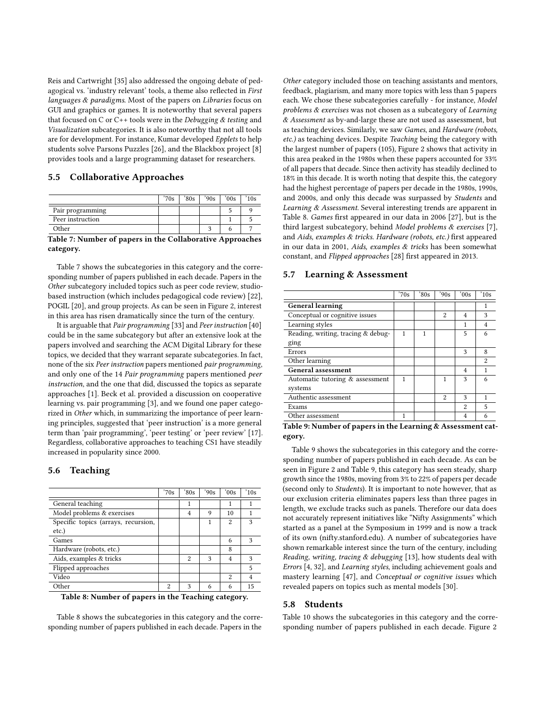Reis and Cartwright [35] also addressed the ongoing debate of pedagogical vs. 'industry relevant' tools, a theme also reflected in First languages & paradigms. Most of the papers on Libraries focus on GUI and graphics or games. It is noteworthy that several papers that focused on C or  $C_{++}$  tools were in the *Debugging & testing* and Visualization subcategories. It is also noteworthy that not all tools are for development. For instance, Kumar developed Epplets to help students solve Parsons Puzzles [26], and the Blackbox project [8] provides tools and a large programming dataset for researchers.

#### 5.5 Collaborative Approaches

|                              | '70s | 80s | '90s | $^{\circ}00s$ | 10s |  |
|------------------------------|------|-----|------|---------------|-----|--|
| Pair programming             |      |     |      |               |     |  |
| Peer instruction             |      |     |      |               |     |  |
| Other                        |      |     |      |               |     |  |
| <b>THENIC : 1 QUI CALLER</b> |      |     |      |               |     |  |

Table 7: Number of papers in the Collaborative Approaches category.

Table 7 shows the subcategories in this category and the corresponding number of papers published in each decade. Papers in the Other subcategory included topics such as peer code review, studiobased instruction (which includes pedagogical code review) [22], POGIL [20], and group projects. As can be seen in Figure 2, interest in this area has risen dramatically since the turn of the century.

It is arguable that Pair programming [33] and Peer instruction [40] could be in the same subcategory but after an extensive look at the papers involved and searching the ACM Digital Library for these topics, we decided that they warrant separate subcategories. In fact, none of the six Peer instruction papers mentioned pair programming, and only one of the 14 Pair programming papers mentioned peer instruction, and the one that did, discussed the topics as separate approaches [1]. Beck et al. provided a discussion on cooperative learning vs. pair programming [3], and we found one paper categorized in Other which, in summarizing the importance of peer learning principles, suggested that 'peer instruction' is a more general term than 'pair programming', 'peer testing' or 'peer review' [17]. Regardless, collaborative approaches to teaching CS1 have steadily increased in popularity since 2000.

#### 5.6 Teaching

|                                     | '70s           | 80s            | '90s | '00s           | $^{\prime}10s$ |
|-------------------------------------|----------------|----------------|------|----------------|----------------|
| General teaching                    |                | 1              |      | 1              |                |
| Model problems & exercises          |                | $\overline{4}$ | 9    | 10             |                |
| Specific topics (arrays, recursion, |                |                | 1    | $\overline{c}$ | 3              |
| $etc.$ )                            |                |                |      |                |                |
| Games                               |                |                |      | 6              | 3              |
| Hardware (robots, etc.)             |                |                |      | 8              |                |
| Aids, examples & tricks             |                | $\overline{2}$ | 3    | $\overline{4}$ | 3              |
| Flipped approaches                  |                |                |      |                | 5              |
| Video                               |                |                |      | 2              | 4              |
| Other                               | $\overline{c}$ | 3              | 6    | 6              | 15             |

Table 8: Number of papers in the Teaching category.

Table 8 shows the subcategories in this category and the corresponding number of papers published in each decade. Papers in the

Other category included those on teaching assistants and mentors, feedback, plagiarism, and many more topics with less than 5 papers each. We chose these subcategories carefully - for instance, Model problems & exercises was not chosen as a subcategory of Learning  $\&$  Assessment as by-and-large these are not used as assessment, but as teaching devices. Similarly, we saw Games, and Hardware (robots, etc.) as teaching devices. Despite Teaching being the category with the largest number of papers (105), Figure 2 shows that activity in this area peaked in the 1980s when these papers accounted for 33% of all papers that decade. Since then activity has steadily declined to 18% in this decade. It is worth noting that despite this, the category had the highest percentage of papers per decade in the 1980s, 1990s, and 2000s, and only this decade was surpassed by Students and Learning & Assessment. Several interesting trends are apparent in Table 8. Games first appeared in our data in 2006 [27], but is the third largest subcategory, behind Model problems & exercises [7], and Aids, examples & tricks. Hardware (robots, etc.) first appeared in our data in 2001, Aids, examples & tricks has been somewhat constant, and Flipped approaches [28] first appeared in 2013.

#### 5.7 Learning & Assessment

|                                    | '70s   | 80s | '90s           | $^{\prime}00s$ | $^{\prime}10s$ |
|------------------------------------|--------|-----|----------------|----------------|----------------|
| <b>General learning</b>            |        |     |                |                | 1              |
| Conceptual or cognitive issues     |        |     | $\mathfrak{D}$ | 4              | 3              |
| Learning styles                    |        |     |                | 1              | $\overline{4}$ |
| Reading, writing, tracing & debug- | 1      | 1   |                | 5              | 6              |
| ging                               |        |     |                |                |                |
| Errors                             |        |     |                | 3              | 8              |
| Other learning                     |        |     |                |                | 2              |
| General assessment                 |        |     |                | 4              |                |
| Automatic tutoring & assessment    | 1      |     | 1              | 3              | 6              |
| systems                            |        |     |                |                |                |
| Authentic assessment               |        |     | $\overline{c}$ | 3              |                |
| Exams                              |        |     |                | $\overline{c}$ | 5              |
| Other assessment                   | 1      |     |                | 4              | 6              |
| -------<br>$\sim$ $\sim$           | $\sim$ |     |                |                |                |

Table 9: Number of papers in the Learning & Assessment category.

Table 9 shows the subcategories in this category and the corresponding number of papers published in each decade. As can be seen in Figure 2 and Table 9, this category has seen steady, sharp growth since the 1980s, moving from 3% to 22% of papers per decade (second only to Students). It is important to note however, that as our exclusion criteria eliminates papers less than three pages in length, we exclude tracks such as panels. Therefore our data does not accurately represent initiatives like "Nifty Assignments" which started as a panel at the Symposium in 1999 and is now a track of its own [\(nifty.stanford.edu\)](http://nifty.stanford.edu/). A number of subcategories have shown remarkable interest since the turn of the century, including Reading, writing, tracing & debugging [13], how students deal with Errors [4, 32], and Learning styles, including achievement goals and mastery learning [47], and Conceptual or cognitive issues which revealed papers on topics such as mental models [30].

#### 5.8 Students

Table 10 shows the subcategories in this category and the corresponding number of papers published in each decade. Figure 2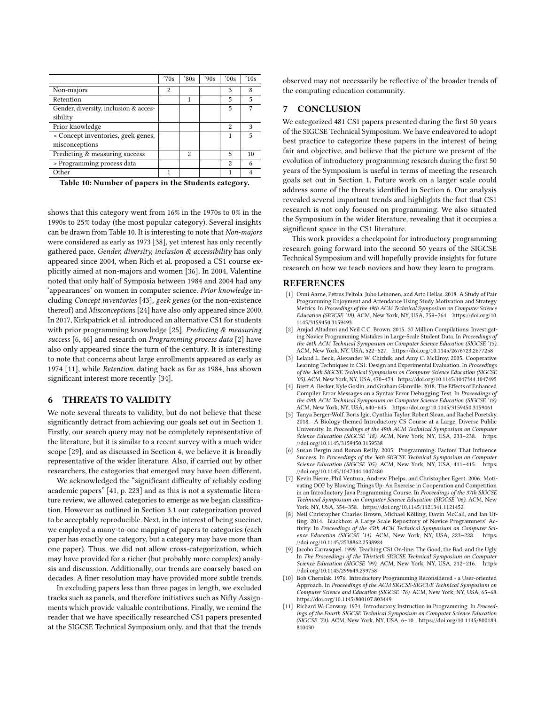|                                                      | '70s | 80s            | '90s | $^{\prime}00s$          | $^{\prime}10s$ |
|------------------------------------------------------|------|----------------|------|-------------------------|----------------|
| Non-majors                                           | 2    |                |      | 3                       | 8              |
| Retention                                            |      |                |      | 5                       | 5              |
| Gender, diversity, inclusion & acces-<br>sibility    |      |                |      | 5                       | 7              |
| Prior knowledge                                      |      |                |      | 2                       | 3              |
| > Concept inventories, geek genes,<br>misconceptions |      |                |      |                         | 5              |
| Predicting & measuring success                       |      | $\overline{2}$ |      | 5                       | 10             |
| > Programming process data                           |      |                |      | $\overline{\mathbf{c}}$ | 6              |
| Other                                                | 1    |                |      |                         | 4              |
|                                                      |      |                |      |                         |                |

|  |  |  |  |  |  |  | Table 10: Number of papers in the Students category. |
|--|--|--|--|--|--|--|------------------------------------------------------|
|--|--|--|--|--|--|--|------------------------------------------------------|

shows that this category went from 16% in the 1970s to 0% in the 1990s to 25% today (the most popular category). Several insights can be drawn from Table 10. It is interesting to note that Non-majors were considered as early as 1973 [38], yet interest has only recently gathered pace. Gender, diversity, inclusion  $\&$  accessibility has only appeared since 2004, when Rich et al. proposed a CS1 course explicitly aimed at non-majors and women [36]. In 2004, Valentine noted that only half of Symposia between 1984 and 2004 had any 'appearances' on women in computer science. Prior knowledge including Concept inventories [43], geek genes (or the non-existence thereof) and Misconceptions [24] have also only appeared since 2000. In 2017, Kirkpatrick et al. introduced an alternative CS1 for students with prior programming knowledge [25]. Predicting & measuring success [6, 46] and research on Programming process data [2] have also only appeared since the turn of the century. It is interesting to note that concerns about large enrollments appeared as early as 1974 [11], while Retention, dating back as far as 1984, has shown significant interest more recently [34].

## 6 THREATS TO VALIDITY

We note several threats to validity, but do not believe that these significantly detract from achieving our goals set out in Section 1. Firstly, our search query may not be completely representative of the literature, but it is similar to a recent survey with a much wider scope [29], and as discussed in Section 4, we believe it is broadly representative of the wider literature. Also, if carried out by other researchers, the categories that emerged may have been different.

We acknowledged the "significant difficulty of reliably coding academic papers" [41, p. 223] and as this is not a systematic literature review, we allowed categories to emerge as we began classification. However as outlined in Section 3.1 our categorization proved to be acceptably reproducible. Next, in the interest of being succinct, we employed a many-to-one mapping of papers to categories (each paper has exactly one category, but a category may have more than one paper). Thus, we did not allow cross-categorization, which may have provided for a richer (but probably more complex) analysis and discussion. Additionally, our trends are coarsely based on decades. A finer resolution may have provided more subtle trends.

In excluding papers less than three pages in length, we excluded tracks such as panels, and therefore initiatives such as Nifty Assignments which provide valuable contributions. Finally, we remind the reader that we have specifically researched CS1 papers presented at the SIGCSE Technical Symposium only, and that that the trends

observed may not necessarily be reflective of the broader trends of the computing education community.

# 7 CONCLUSION

We categorized 481 CS1 papers presented during the first 50 years of the SIGCSE Technical Symposium. We have endeavored to adopt best practice to categorize these papers in the interest of being fair and objective, and believe that the picture we present of the evolution of introductory programming research during the first 50 years of the Symposium is useful in terms of meeting the research goals set out in Section 1. Future work on a larger scale could address some of the threats identified in Section 6. Our analysis revealed several important trends and highlights the fact that CS1 research is not only focused on programming. We also situated the Symposium in the wider literature, revealing that it occupies a significant space in the CS1 literature.

This work provides a checkpoint for introductory programming research going forward into the second 50 years of the SIGCSE Technical Symposium and will hopefully provide insights for future research on how we teach novices and how they learn to program.

#### REFERENCES

- [1] Onni Aarne, Petrus Peltola, Juho Leinonen, and Arto Hellas. 2018. A Study of Pair Programming Enjoyment and Attendance Using Study Motivation and Strategy Metrics. In Proceedings of the 49th ACM Technical Symposium on Computer Science Education (SIGCSE '18). ACM, New York, NY, USA, 759–764. [https://doi.org/10.](https://doi.org/10.1145/3159450.3159493) [1145/3159450.3159493](https://doi.org/10.1145/3159450.3159493)
- [2] Amiad Altadmri and Neil C.C. Brown. 2015. 37 Million Compilations: Investigating Novice Programming Mistakes in Large-Scale Student Data. In Proceedings of the 46th ACM Technical Symposium on Computer Science Education (SIGCSE '15). ACM, New York, NY, USA, 522–527.<https://doi.org/10.1145/2676723.2677258>
- [3] Leland L. Beck, Alexander W. Chizhik, and Amy C. McElroy. 2005. Cooperative Learning Techniques in CS1: Design and Experimental Evaluation. In Proceedings of the 36th SIGCSE Technical Symposium on Computer Science Education (SIGCSE '05). ACM, New York, NY, USA, 470–474.<https://doi.org/10.1145/1047344.1047495>
- [4] Brett A. Becker, Kyle Goslin, and Graham Glanville. 2018. The Effects of Enhanced Compiler Error Messages on a Syntax Error Debugging Test. In Proceedings of the 49th ACM Technical Symposium on Computer Science Education (SIGCSE '18). ACM, New York, NY, USA, 640–645.<https://doi.org/10.1145/3159450.3159461>
- [5] Tanya Berger-Wolf, Boris Igic, Cynthia Taylor, Robert Sloan, and Rachel Poretsky. 2018. A Biology-themed Introductory CS Course at a Large, Diverse Public University. In Proceedings of the 49th ACM Technical Symposium on Computer Science Education (SIGCSE '18). ACM, New York, NY, USA, 233-238. [https:](https://doi.org/10.1145/3159450.3159538) [//doi.org/10.1145/3159450.3159538](https://doi.org/10.1145/3159450.3159538)
- [6] Susan Bergin and Ronan Reilly. 2005. Programming: Factors That Influence Success. In Proceedings of the 36th SIGCSE Technical Symposium on Computer Science Education (SIGCSE '05). ACM, New York, NY, USA, 411-415. [https:](https://doi.org/10.1145/1047344.1047480) [//doi.org/10.1145/1047344.1047480](https://doi.org/10.1145/1047344.1047480)
- [7] Kevin Bierre, Phil Ventura, Andrew Phelps, and Christopher Egert. 2006. Motivating OOP by Blowing Things Up: An Exercise in Cooperation and Competition in an Introductory Java Programming Course. In Proceedings of the 37th SIGCSE Technical Symposium on Computer Science Education (SIGCSE '06). ACM, New York, NY, USA, 354–358.<https://doi.org/10.1145/1121341.1121452>
- [8] Neil Christopher Charles Brown, Michael Kölling, Davin McCall, and Ian Utting. 2014. Blackbox: A Large Scale Repository of Novice Programmers' Activity. In Proceedings of the 45th ACM Technical Symposium on Computer Science Education (SIGCSE '14). ACM, New York, NY, USA, 223-228. [https:](https://doi.org/10.1145/2538862.2538924) [//doi.org/10.1145/2538862.2538924](https://doi.org/10.1145/2538862.2538924)
- [9] Jacobo Carrasquel. 1999. Teaching CS1 On-line: The Good, the Bad, and the Ugly. In The Proceedings of the Thirtieth SIGCSE Technical Symposium on Computer Science Education (SIGCSE '99). ACM, New York, NY, USA, 212-216. [https:](https://doi.org/10.1145/299649.299758) [//doi.org/10.1145/299649.299758](https://doi.org/10.1145/299649.299758)
- [10] Bob Cherniak. 1976. Introductory Programming Reconsidered a User-oriented Approach. In Proceedings of the ACM SIGCSE-SIGCUE Technical Symposium on Computer Science and Education (SIGCSE '76). ACM, New York, NY, USA, 65–68. <https://doi.org/10.1145/800107.803449>
- [11] Richard W. Conway. 1974. Introductory Instruction in Programming. In Proceedings of the Fourth SIGCSE Technical Symposium on Computer Science Education (SIGCSE '74). ACM, New York, NY, USA, 6–10. [https://doi.org/10.1145/800183.](https://doi.org/10.1145/800183.810430) [810430](https://doi.org/10.1145/800183.810430)